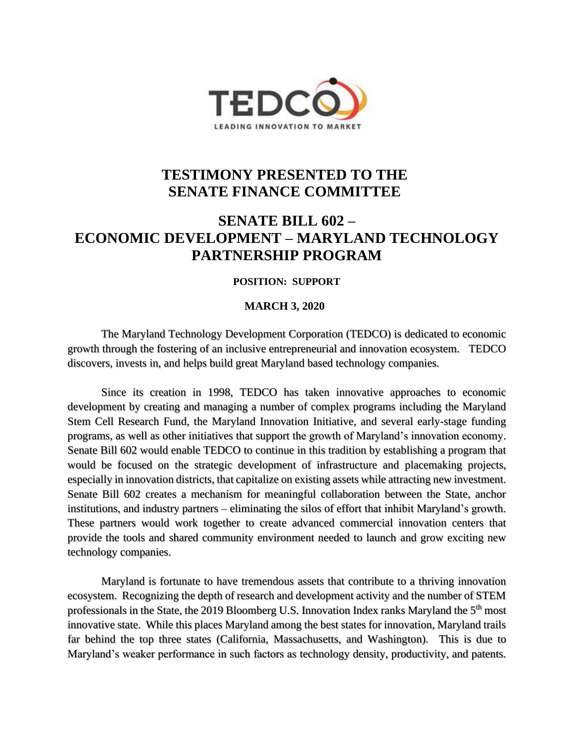

## **TESTIMONY PRESENTED TO THE SENATE FINANCE COMMITTEE**

## **SENATE BILL 602 – ECONOMIC DEVELOPMENT – MARYLAND TECHNOLOGY PARTNERSHIP PROGRAM**

## **POSITION: SUPPORT**

## **MARCH 3, 2020**

The Maryland Technology Development Corporation (TEDCO) is dedicated to economic growth through the fostering of an inclusive entrepreneurial and innovation ecosystem. TEDCO discovers, invests in, and helps build great Maryland based technology companies.

Since its creation in 1998, TEDCO has taken innovative approaches to economic development by creating and managing a number of complex programs including the Maryland Stem Cell Research Fund, the Maryland Innovation Initiative, and several early-stage funding programs, as well as other initiatives that support the growth of Maryland's innovation economy. Senate Bill 602 would enable TEDCO to continue in this tradition by establishing a program that would be focused on the strategic development of infrastructure and placemaking projects, especially in innovation districts, that capitalize on existing assets while attracting new investment. Senate Bill 602 creates a mechanism for meaningful collaboration between the State, anchor institutions, and industry partners – eliminating the silos of effort that inhibit Maryland's growth. These partners would work together to create advanced commercial innovation centers that provide the tools and shared community environment needed to launch and grow exciting new technology companies.

Maryland is fortunate to have tremendous assets that contribute to a thriving innovation ecosystem. Recognizing the depth of research and development activity and the number of STEM professionals in the State, the 2019 Bloomberg U.S. Innovation Index ranks Maryland the 5<sup>th</sup> most innovative state. While this places Maryland among the best states for innovation, Maryland trails far behind the top three states (California, Massachusetts, and Washington). This is due to Maryland's weaker performance in such factors as technology density, productivity, and patents.